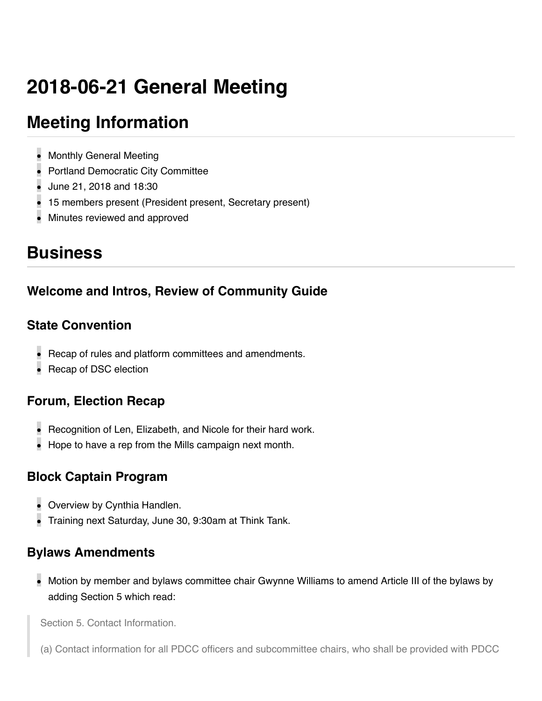# **2018-06-21 General Meeting**

## **Meeting Information**

- Monthly General Meeting
- Portland Democratic City Committee
- June 21, 2018 and 18:30
- 15 members present (President present, Secretary present)
- Minutes reviewed and approved

### **Business**

### **Welcome and Intros, Review of Community Guide**

#### **State Convention**

- Recap of rules and platform committees and amendments.
- Recap of DSC election

### **Forum, Election Recap**

- Recognition of Len, Elizabeth, and Nicole for their hard work.
- Hope to have a rep from the Mills campaign next month.

#### **Block Captain Program**

- Overview by Cynthia Handlen.
- Training next Saturday, June 30, 9:30am at Think Tank.

### **Bylaws Amendments**

Motion by member and bylaws committee chair Gwynne Williams to amend Article III of the bylaws by adding Section 5 which read:

Section 5. Contact Information.

(a) Contact information for all PDCC officers and subcommittee chairs, who shall be provided with PDCC